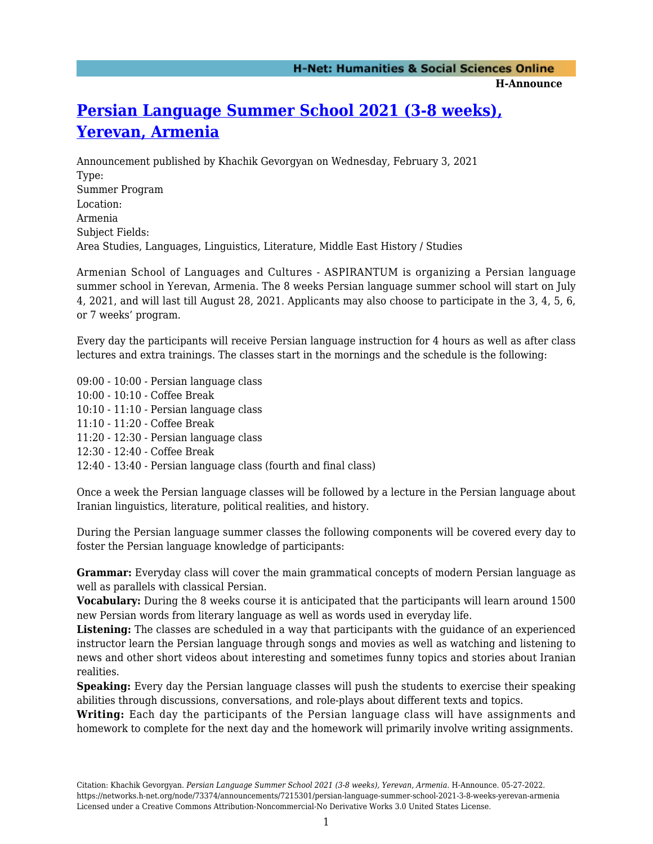#### **H-Announce**

# **[Persian Language Summer School 2021 \(3-8 weeks\),](https://networks.h-net.org/node/73374/announcements/7215301/persian-language-summer-school-2021-3-8-weeks-yerevan-armenia) [Yerevan, Armenia](https://networks.h-net.org/node/73374/announcements/7215301/persian-language-summer-school-2021-3-8-weeks-yerevan-armenia)**

Announcement published by Khachik Gevorgyan on Wednesday, February 3, 2021 Type: Summer Program Location: Armenia Subject Fields: Area Studies, Languages, Linguistics, Literature, Middle East History / Studies

Armenian School of Languages and Cultures - ASPIRANTUM is organizing a Persian language summer school in Yerevan, Armenia. The 8 weeks Persian language summer school will start on July 4, 2021, and will last till August 28, 2021. Applicants may also choose to participate in the 3, 4, 5, 6, or 7 weeks' program.

Every day the participants will receive Persian language instruction for 4 hours as well as after class lectures and extra trainings. The classes start in the mornings and the schedule is the following:

09:00 - 10:00 - Persian language class 10:00 - 10:10 - Coffee Break 10:10 - 11:10 - Persian language class 11:10 - 11:20 - Coffee Break 11:20 - 12:30 - Persian language class 12:30 - 12:40 - Coffee Break 12:40 - 13:40 - Persian language class (fourth and final class)

Once a week the Persian language classes will be followed by a lecture in the Persian language about Iranian linguistics, literature, political realities, and history.

During the Persian language summer classes the following components will be covered every day to foster the Persian language knowledge of participants:

**Grammar:** Everyday class will cover the main grammatical concepts of modern Persian language as well as parallels with classical Persian.

**Vocabulary:** During the 8 weeks course it is anticipated that the participants will learn around 1500 new Persian words from literary language as well as words used in everyday life.

**Listening:** The classes are scheduled in a way that participants with the guidance of an experienced instructor learn the Persian language through songs and movies as well as watching and listening to news and other short videos about interesting and sometimes funny topics and stories about Iranian realities.

**Speaking:** Every day the Persian language classes will push the students to exercise their speaking abilities through discussions, conversations, and role-plays about different texts and topics.

**Writing:** Each day the participants of the Persian language class will have assignments and homework to complete for the next day and the homework will primarily involve writing assignments.